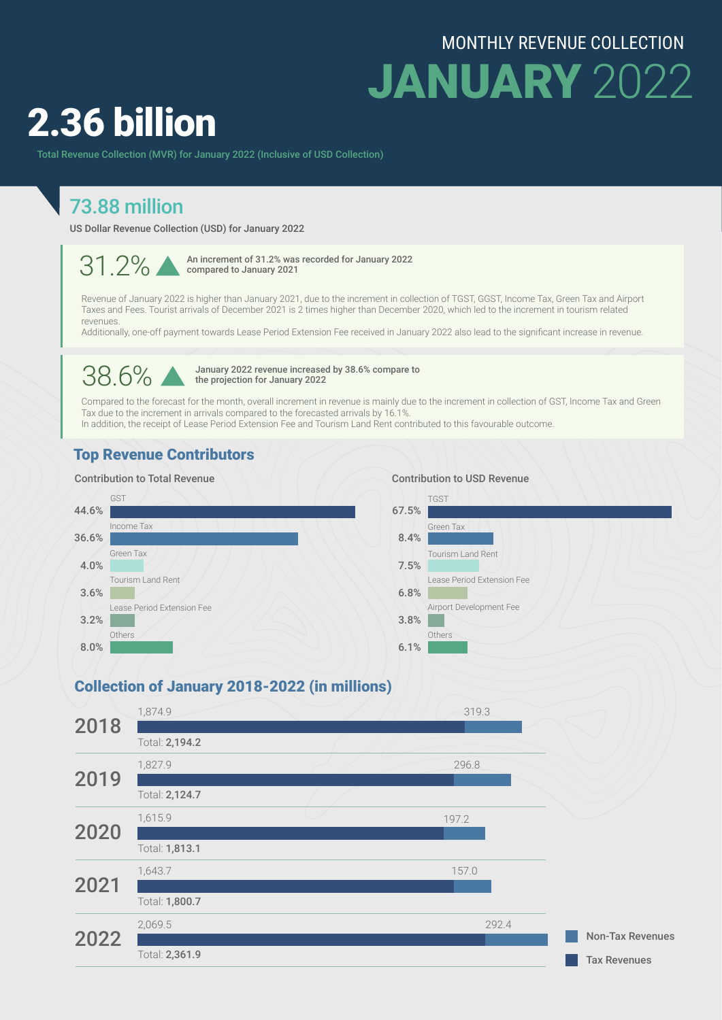## MONTHLY REVENUE COLLECTION

JANUARY 2022

# 2.36 billion

Total Revenue Collection (MVR) for January 2022 (Inclusive of USD Collection)

# 73.88 million

US Dollar Revenue Collection (USD) for January 2022

31 2% An increment of 31.2% was recorded for January 2022 compared to January 2021

Revenue of January 2022 is higher than January 2021, due to the increment in collection of TGST, GGST, Income Tax, Green Tax and Airport Taxes and Fees. Tourist arrivals of December 2021 is 2 times higher than December 2020, which led to the increment in tourism related revenues.

Additionally, one-off payment towards Lease Period Extension Fee received in January 2022 also lead to the significant increase in revenue.

38.6% January 2022 revenue increased by 38.6% compare to<br>the projection for January 2022 the projection for January 2022

Compared to the forecast for the month, overall increment in revenue is mainly due to the increment in collection of GST, Income Tax and Green Tax due to the increment in arrivals compared to the forecasted arrivals by 16.1%. In addition, the receipt of Lease Period Extension Fee and Tourism Land Rent contributed to this favourable outcome.

#### Top Revenue Contributors

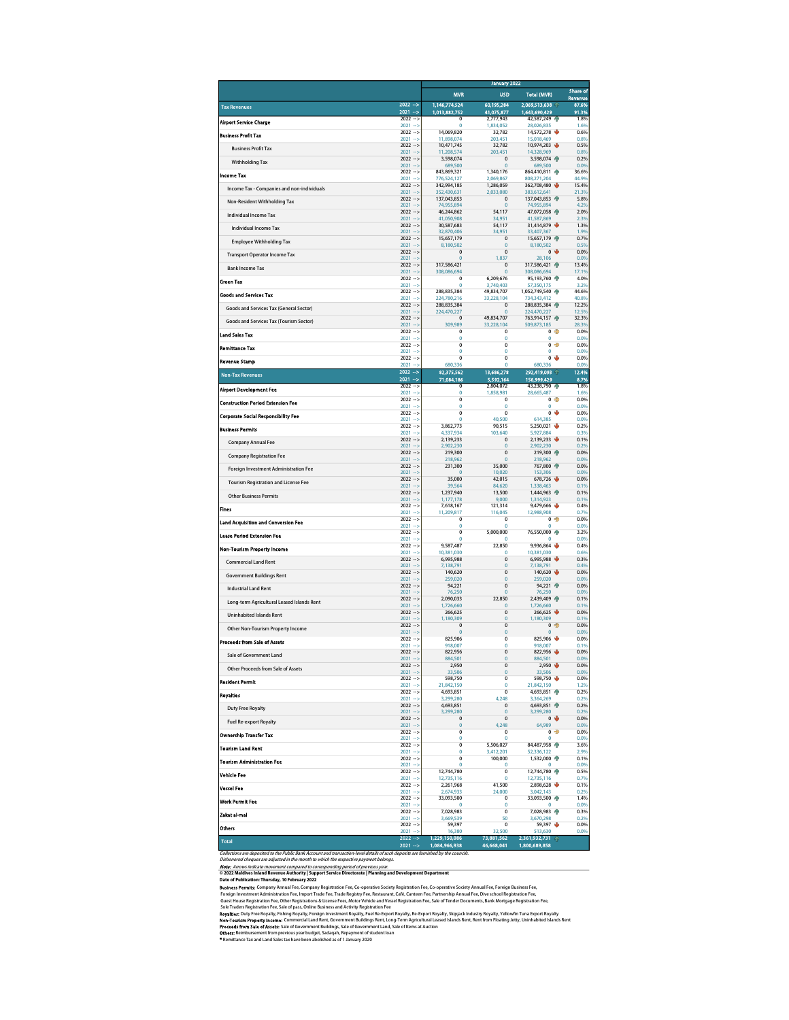|                                                                                                                                                                                                                                                                                                                                                                                                                                                                                                                                                                                                                                                                                                                                                                                                                                                                                                                                                                                                                                                                                                                                                                                                                                                                                                                                                                                                                                                                                                                                                                                      |                                     |    |                                  |                               | January 2022                   |   |                     |  |  |
|--------------------------------------------------------------------------------------------------------------------------------------------------------------------------------------------------------------------------------------------------------------------------------------------------------------------------------------------------------------------------------------------------------------------------------------------------------------------------------------------------------------------------------------------------------------------------------------------------------------------------------------------------------------------------------------------------------------------------------------------------------------------------------------------------------------------------------------------------------------------------------------------------------------------------------------------------------------------------------------------------------------------------------------------------------------------------------------------------------------------------------------------------------------------------------------------------------------------------------------------------------------------------------------------------------------------------------------------------------------------------------------------------------------------------------------------------------------------------------------------------------------------------------------------------------------------------------------|-------------------------------------|----|----------------------------------|-------------------------------|--------------------------------|---|---------------------|--|--|
|                                                                                                                                                                                                                                                                                                                                                                                                                                                                                                                                                                                                                                                                                                                                                                                                                                                                                                                                                                                                                                                                                                                                                                                                                                                                                                                                                                                                                                                                                                                                                                                      |                                     |    | <b>MVR</b>                       | <b>USD</b>                    | <b>Total (MVR)</b>             |   | Share of<br>Revenue |  |  |
| <b>Tax Revenues</b>                                                                                                                                                                                                                                                                                                                                                                                                                                                                                                                                                                                                                                                                                                                                                                                                                                                                                                                                                                                                                                                                                                                                                                                                                                                                                                                                                                                                                                                                                                                                                                  | $2022 -$<br>$2021 - 5$              |    | 1,146,774,524<br>1,013,882,752   | 60,195,284<br>41,075,877      | 2,069,513,638<br>1,643,690,429 |   | 87.6%<br>91.3%      |  |  |
| <b>Airport Service Charge</b>                                                                                                                                                                                                                                                                                                                                                                                                                                                                                                                                                                                                                                                                                                                                                                                                                                                                                                                                                                                                                                                                                                                                                                                                                                                                                                                                                                                                                                                                                                                                                        | $2022 - 5$<br>$2021 - 5$            |    | $\overline{0}$<br>$\mathbf 0$    | 2.777.943<br>1,834,052        | 42,587,249<br>28,026,835       |   | 1.8%<br>1.6%        |  |  |
| <b>Business Profit Tax</b>                                                                                                                                                                                                                                                                                                                                                                                                                                                                                                                                                                                                                                                                                                                                                                                                                                                                                                                                                                                                                                                                                                                                                                                                                                                                                                                                                                                                                                                                                                                                                           | $2022 - 5$<br>2021                  |    | 14,069,820<br>11,898,074         | 32,782<br>203,451             | 14,572,278<br>15,018,469       |   | 0.6%<br>0.8%        |  |  |
| <b>Business Profit Tax</b>                                                                                                                                                                                                                                                                                                                                                                                                                                                                                                                                                                                                                                                                                                                                                                                                                                                                                                                                                                                                                                                                                                                                                                                                                                                                                                                                                                                                                                                                                                                                                           | $2022 - 5$<br>$2021 - 5$            |    | 10,471,745<br>11,208,574         | 32,782<br>203,451             | 10,974,203<br>14,328,969       |   | 0.5%<br>0.8%        |  |  |
| <b>Withholding Tax</b>                                                                                                                                                                                                                                                                                                                                                                                                                                                                                                                                                                                                                                                                                                                                                                                                                                                                                                                                                                                                                                                                                                                                                                                                                                                                                                                                                                                                                                                                                                                                                               | $2022 - 5$<br>$2021 - 5$            |    | 3.598.074<br>689,500             | $\mathbf 0$<br>$\bf{0}$       | 3,598,074 个<br>689,500         |   | 0.2%<br>0.0%        |  |  |
| <b>Income Tax</b>                                                                                                                                                                                                                                                                                                                                                                                                                                                                                                                                                                                                                                                                                                                                                                                                                                                                                                                                                                                                                                                                                                                                                                                                                                                                                                                                                                                                                                                                                                                                                                    | $2022 - 5$<br>$2021 - 1$            |    | 843,869,321                      | 1,340,176                     | 864,410,811                    |   | 36.6%<br>44.9%      |  |  |
| Income Tax - Companies and non-individuals                                                                                                                                                                                                                                                                                                                                                                                                                                                                                                                                                                                                                                                                                                                                                                                                                                                                                                                                                                                                                                                                                                                                                                                                                                                                                                                                                                                                                                                                                                                                           | $2022 - 5$                          |    | 776,524,127<br>342,994,185       | 2,069,867<br>1,286,059        | 808,271,204<br>362,708,480     |   | 15.4%               |  |  |
| Non-Resident Withholding Tax                                                                                                                                                                                                                                                                                                                                                                                                                                                                                                                                                                                                                                                                                                                                                                                                                                                                                                                                                                                                                                                                                                                                                                                                                                                                                                                                                                                                                                                                                                                                                         | $2021 - 5$<br>$2022 -$              |    | 352,430,631<br>137,043,853       | 2,033,080<br>0                | 383,612,641<br>137,043,853 骨   |   | 21.3%<br>5.8%       |  |  |
| Individual Income Tax                                                                                                                                                                                                                                                                                                                                                                                                                                                                                                                                                                                                                                                                                                                                                                                                                                                                                                                                                                                                                                                                                                                                                                                                                                                                                                                                                                                                                                                                                                                                                                | $2021 - 5$<br>$2022 - 5$            |    | 74,955,894<br>46,244,862         | $\overline{0}$<br>54,117      | 74,955,894<br>47,072,058 骨     |   | 4.2%<br>2.0%        |  |  |
| <b>Individual Income Tax</b>                                                                                                                                                                                                                                                                                                                                                                                                                                                                                                                                                                                                                                                                                                                                                                                                                                                                                                                                                                                                                                                                                                                                                                                                                                                                                                                                                                                                                                                                                                                                                         | $2021 - 5$<br>$2022 - 5$            |    | 41.050.908<br>30,587,683         | 34.951<br>54,117              | 41,587,869<br>31,414,879       |   | 2.3%<br>1.3%        |  |  |
| <b>Employee Withholding Tax</b>                                                                                                                                                                                                                                                                                                                                                                                                                                                                                                                                                                                                                                                                                                                                                                                                                                                                                                                                                                                                                                                                                                                                                                                                                                                                                                                                                                                                                                                                                                                                                      | 2021<br>$\rightarrow$<br>$2022 - 5$ |    | 32,870,406<br>15,657,179         | 34,951<br>$\mathbf 0$         | 33,407,367<br>15,657,179       |   | 1.9%<br>0.7%        |  |  |
|                                                                                                                                                                                                                                                                                                                                                                                                                                                                                                                                                                                                                                                                                                                                                                                                                                                                                                                                                                                                                                                                                                                                                                                                                                                                                                                                                                                                                                                                                                                                                                                      | $2021 - 5$<br>$2022 - 5$            |    | 8,180,502<br>$\overline{0}$      | $\overline{0}$<br>$\bf{0}$    | 8,180,502<br>$\overline{0}$    |   | 0.5%<br>0.0%        |  |  |
| <b>Transport Operator Income Tax</b>                                                                                                                                                                                                                                                                                                                                                                                                                                                                                                                                                                                                                                                                                                                                                                                                                                                                                                                                                                                                                                                                                                                                                                                                                                                                                                                                                                                                                                                                                                                                                 | $2021 - 5$<br>$2022 - 5$            |    | 0<br>317,586,421                 | 1,837<br>$\overline{0}$       | 28,106<br>317,586,421          |   | 0.0%<br>13.4%       |  |  |
| <b>Bank Income Tax</b>                                                                                                                                                                                                                                                                                                                                                                                                                                                                                                                                                                                                                                                                                                                                                                                                                                                                                                                                                                                                                                                                                                                                                                                                                                                                                                                                                                                                                                                                                                                                                               | $2021 - 5$<br>$2022 - 5$            |    | 308,086,694<br>$\overline{0}$    | $\bf{0}$<br>6,209,676         | 308,086,694<br>95,193,760      |   | 17.1%<br>4.0%       |  |  |
| Green Tax                                                                                                                                                                                                                                                                                                                                                                                                                                                                                                                                                                                                                                                                                                                                                                                                                                                                                                                                                                                                                                                                                                                                                                                                                                                                                                                                                                                                                                                                                                                                                                            | $2021 - 5$<br>$2022 - 5$            |    | $\Omega$<br>288,835,384          | 3,740,403<br>49,834,707       | 57,350,175<br>1,052,749,540    |   | 3.2%<br>44.6%       |  |  |
| <b>Goods and Services Tax</b>                                                                                                                                                                                                                                                                                                                                                                                                                                                                                                                                                                                                                                                                                                                                                                                                                                                                                                                                                                                                                                                                                                                                                                                                                                                                                                                                                                                                                                                                                                                                                        | $2021 - 5$<br>$2022 - 5$            |    | 224,780,216                      | 33,228,104<br>$\mathbf 0$     | 734,343,412                    |   | 40.8%               |  |  |
| Goods and Services Tax (General Sector)                                                                                                                                                                                                                                                                                                                                                                                                                                                                                                                                                                                                                                                                                                                                                                                                                                                                                                                                                                                                                                                                                                                                                                                                                                                                                                                                                                                                                                                                                                                                              | $2021 - 5$                          |    | 288,835,384<br>224,470,227       | $\Omega$                      | 288,835,384<br>224,470,227     |   | 12.2%<br>12.5%      |  |  |
| Goods and Services Tax (Tourism Sector)                                                                                                                                                                                                                                                                                                                                                                                                                                                                                                                                                                                                                                                                                                                                                                                                                                                                                                                                                                                                                                                                                                                                                                                                                                                                                                                                                                                                                                                                                                                                              | $2022 - 5$<br>2021<br>$\rightarrow$ |    | 0<br>309,989                     | 49,834,707<br>33,228,104      | 763,914,157 骨<br>509,873,185   |   | 32.3%<br>28.3%      |  |  |
| <b>Land Sales Tax</b>                                                                                                                                                                                                                                                                                                                                                                                                                                                                                                                                                                                                                                                                                                                                                                                                                                                                                                                                                                                                                                                                                                                                                                                                                                                                                                                                                                                                                                                                                                                                                                | $2022 - 5$<br>$2021 - 5$            |    | 0<br>$\overline{0}$              | $\mathbf 0$<br>$\mathbf 0$    | 0<br>$\mathbf 0$               | ھ | 0.0%<br>0.0%        |  |  |
| <b>Remittance Tax</b>                                                                                                                                                                                                                                                                                                                                                                                                                                                                                                                                                                                                                                                                                                                                                                                                                                                                                                                                                                                                                                                                                                                                                                                                                                                                                                                                                                                                                                                                                                                                                                | $2022 - 5$<br>$2021 - 5$            |    | $\overline{0}$<br>$\overline{0}$ | $\mathbf 0$<br>$\mathbf 0$    | 0 <sup>2</sup><br>$\mathbf 0$  |   | 0.0%<br>0.0%        |  |  |
| <b>Revenue Stamp</b>                                                                                                                                                                                                                                                                                                                                                                                                                                                                                                                                                                                                                                                                                                                                                                                                                                                                                                                                                                                                                                                                                                                                                                                                                                                                                                                                                                                                                                                                                                                                                                 | $2022 - 5$<br>2021                  |    | $\mathbf 0$<br>680,336           | $\mathbf 0$<br>0              | $\mathbf 0$<br>680,336         |   | 0.0%<br>0.0%        |  |  |
| <b>Non-Tax Revenues</b>                                                                                                                                                                                                                                                                                                                                                                                                                                                                                                                                                                                                                                                                                                                                                                                                                                                                                                                                                                                                                                                                                                                                                                                                                                                                                                                                                                                                                                                                                                                                                              | 2022<br>$\rightarrow$<br>$2021 - 5$ |    | 82,375,562                       | 13,686,278                    | 292,419,093                    |   | 12.4%               |  |  |
| <b>Airport Development Fee</b>                                                                                                                                                                                                                                                                                                                                                                                                                                                                                                                                                                                                                                                                                                                                                                                                                                                                                                                                                                                                                                                                                                                                                                                                                                                                                                                                                                                                                                                                                                                                                       | 2022<br>$\rightarrow$<br>$2021 -$   |    | 71,084,186<br>Ō                  | 5,592,164<br>2,804,072        | 156,999,429<br>43,238,790      |   | 8.7%<br>1.8%        |  |  |
| <b>Construction Period Extension Fee</b>                                                                                                                                                                                                                                                                                                                                                                                                                                                                                                                                                                                                                                                                                                                                                                                                                                                                                                                                                                                                                                                                                                                                                                                                                                                                                                                                                                                                                                                                                                                                             | $2022 - 5$                          |    | $\mathbf 0$<br>0                 | 1,858,981<br>$\mathbf 0$      | 28,665,487<br>0 <sup>2</sup>   |   | 1.6%<br>0.0%        |  |  |
| <b>Corporate Social Responsibility Fee</b>                                                                                                                                                                                                                                                                                                                                                                                                                                                                                                                                                                                                                                                                                                                                                                                                                                                                                                                                                                                                                                                                                                                                                                                                                                                                                                                                                                                                                                                                                                                                           | $2021 - 5$<br>$2022 - 5$            |    | $\mathbf{0}$<br>0                | $\mathbf 0$<br>0              | $\theta$<br>0 <sub>0</sub>     |   | 0.0%<br>0.0%        |  |  |
| <b>Business Permits</b>                                                                                                                                                                                                                                                                                                                                                                                                                                                                                                                                                                                                                                                                                                                                                                                                                                                                                                                                                                                                                                                                                                                                                                                                                                                                                                                                                                                                                                                                                                                                                              | $2021 - 5$<br>$2022 - 5$            |    | 0<br>3,862,773                   | 40,500<br>90,515              | 614,385<br>5,250,021           |   | 0.0%<br>0.2%        |  |  |
|                                                                                                                                                                                                                                                                                                                                                                                                                                                                                                                                                                                                                                                                                                                                                                                                                                                                                                                                                                                                                                                                                                                                                                                                                                                                                                                                                                                                                                                                                                                                                                                      | 2021<br>$2022 - 5$                  |    | 4,337,934<br>2,139,233           | 103,640<br>$\mathbf 0$        | 5,927,884<br>2,139,233         |   | 0.3%<br>0.1%        |  |  |
| <b>Company Annual Fee</b>                                                                                                                                                                                                                                                                                                                                                                                                                                                                                                                                                                                                                                                                                                                                                                                                                                                                                                                                                                                                                                                                                                                                                                                                                                                                                                                                                                                                                                                                                                                                                            | $2021 - 5$<br>$2022 - 5$            |    | 2,902,230<br>219,300             | $\overline{0}$<br>$\pmb{0}$   | 2,902,230<br>219,300           |   | 0.2%<br>0.0%        |  |  |
| <b>Company Registration Fee</b>                                                                                                                                                                                                                                                                                                                                                                                                                                                                                                                                                                                                                                                                                                                                                                                                                                                                                                                                                                                                                                                                                                                                                                                                                                                                                                                                                                                                                                                                                                                                                      | $2021 - 5$<br>$2022 - 5$            |    | 218,962<br>231,300               | $\bf{0}$<br>35,000            | 218,962<br>767,800 骨           |   | 0.0%<br>0.0%        |  |  |
| Foreign Investment Administration Fee                                                                                                                                                                                                                                                                                                                                                                                                                                                                                                                                                                                                                                                                                                                                                                                                                                                                                                                                                                                                                                                                                                                                                                                                                                                                                                                                                                                                                                                                                                                                                | $2021 - 3$<br>$2022 -$              |    | 35,000                           | 10,020<br>42,015              | 153,306<br>678,726             |   | 0.0%<br>0.0%        |  |  |
| <b>Tourism Registration and License Fee</b>                                                                                                                                                                                                                                                                                                                                                                                                                                                                                                                                                                                                                                                                                                                                                                                                                                                                                                                                                                                                                                                                                                                                                                                                                                                                                                                                                                                                                                                                                                                                          | $2021 - 5$<br>$2022 - 5$            |    | 39,564                           | 84,620                        | 1,338,463                      |   | 0.1%                |  |  |
| <b>Other Business Permits</b>                                                                                                                                                                                                                                                                                                                                                                                                                                                                                                                                                                                                                                                                                                                                                                                                                                                                                                                                                                                                                                                                                                                                                                                                                                                                                                                                                                                                                                                                                                                                                        | $2021 - 5$                          |    | 1,237,940<br>1,177,178           | 13,500<br>9,000               | 1,444,963<br>1,314,923         |   | 0.1%<br>0.1%        |  |  |
| <b>Fines</b>                                                                                                                                                                                                                                                                                                                                                                                                                                                                                                                                                                                                                                                                                                                                                                                                                                                                                                                                                                                                                                                                                                                                                                                                                                                                                                                                                                                                                                                                                                                                                                         | $2022 - 5$<br>$2021 - 5$            |    | 7,618,167<br>11,209,817          | 121,314<br>116.045            | 9,479,666<br>12,988,908        |   | 0.4%<br>0.7%        |  |  |
| <b>Land Acquisition and Conversion Fee</b>                                                                                                                                                                                                                                                                                                                                                                                                                                                                                                                                                                                                                                                                                                                                                                                                                                                                                                                                                                                                                                                                                                                                                                                                                                                                                                                                                                                                                                                                                                                                           | $2022 - 5$<br>2021<br>- 3           |    | 0<br>$\overline{0}$              | $\overline{0}$<br>$\mathbf 0$ | $0 -$<br>$\mathbf 0$           |   | 0.0%<br>0.0%        |  |  |
| <b>Lease Period Extension Fee</b>                                                                                                                                                                                                                                                                                                                                                                                                                                                                                                                                                                                                                                                                                                                                                                                                                                                                                                                                                                                                                                                                                                                                                                                                                                                                                                                                                                                                                                                                                                                                                    | $2022 - 5$<br>$2021 - 5$            |    | 0<br>$\overline{0}$              | 5,000,000<br>0                | 76,550,000 个<br>0              |   | 3.2%<br>0.0%        |  |  |
| <b>Non-Tourism Property Income</b>                                                                                                                                                                                                                                                                                                                                                                                                                                                                                                                                                                                                                                                                                                                                                                                                                                                                                                                                                                                                                                                                                                                                                                                                                                                                                                                                                                                                                                                                                                                                                   | $2022 - 5$<br>2021                  |    | 9,587,487<br>10,381,030          | 22,850<br>$\mathbf 0$         | 9,936,864<br>10,381,030        |   | 0.4%<br>0.6%        |  |  |
| <b>Commercial Land Rent</b>                                                                                                                                                                                                                                                                                                                                                                                                                                                                                                                                                                                                                                                                                                                                                                                                                                                                                                                                                                                                                                                                                                                                                                                                                                                                                                                                                                                                                                                                                                                                                          | $2022 - 5$<br>$2021 - 5$            |    | 6,995,988<br>7,138,791           | $\mathbf 0$<br>$\bf{0}$       | 6,995,988<br>7,138,791         |   | 0.3%<br>0.4%        |  |  |
| <b>Government Buildings Rent</b>                                                                                                                                                                                                                                                                                                                                                                                                                                                                                                                                                                                                                                                                                                                                                                                                                                                                                                                                                                                                                                                                                                                                                                                                                                                                                                                                                                                                                                                                                                                                                     | $2022 - 5$<br>$2021 - 5$            |    | 140,620<br>259,020               | $\bf{0}$<br>$\pmb{0}$         | 140,620<br>259,020             |   | 0.0%<br>0.0%        |  |  |
| <b>Industrial Land Rent</b>                                                                                                                                                                                                                                                                                                                                                                                                                                                                                                                                                                                                                                                                                                                                                                                                                                                                                                                                                                                                                                                                                                                                                                                                                                                                                                                                                                                                                                                                                                                                                          | $2022 - 5$<br>$2021 -$              |    | 94,221<br>76,250                 | $\mathbf 0$<br>$\Omega$       | 94,221<br>76,250               | 冷 | 0.0%<br>0.0%        |  |  |
| Long-term Agricultural Leased Islands Rent                                                                                                                                                                                                                                                                                                                                                                                                                                                                                                                                                                                                                                                                                                                                                                                                                                                                                                                                                                                                                                                                                                                                                                                                                                                                                                                                                                                                                                                                                                                                           | $2022 - 5$<br>$2021 - 5$            |    | 2,090,033<br>1,726,660           | 22,850<br>$\mathbf 0$         | 2,439,409 个<br>1,726,660       |   | 0.1%<br>0.1%        |  |  |
| <b>Uninhabited Islands Rent</b>                                                                                                                                                                                                                                                                                                                                                                                                                                                                                                                                                                                                                                                                                                                                                                                                                                                                                                                                                                                                                                                                                                                                                                                                                                                                                                                                                                                                                                                                                                                                                      | $2022 -$<br>$2021 - 5$              |    | 266,625<br>1,180,309             | $\pmb{0}$<br>$\overline{0}$   | 266,625<br>1,180,309           |   | 0.0%<br>0.1%        |  |  |
| Other Non-Tourism Property Income                                                                                                                                                                                                                                                                                                                                                                                                                                                                                                                                                                                                                                                                                                                                                                                                                                                                                                                                                                                                                                                                                                                                                                                                                                                                                                                                                                                                                                                                                                                                                    | $2022 - 5$                          |    | 0                                | $\pmb{0}$                     | 0 <sup>2</sup>                 |   | 0.0%                |  |  |
| Proceeds from Sale of Assets                                                                                                                                                                                                                                                                                                                                                                                                                                                                                                                                                                                                                                                                                                                                                                                                                                                                                                                                                                                                                                                                                                                                                                                                                                                                                                                                                                                                                                                                                                                                                         | $2021 - 5$<br>$2022 - 5$            |    | $\Omega$<br>825,906              | $\mathbf{0}$<br>0             | $\Omega$<br>825,906            |   | 0.0%<br>0.0%        |  |  |
| Sale of Government Land                                                                                                                                                                                                                                                                                                                                                                                                                                                                                                                                                                                                                                                                                                                                                                                                                                                                                                                                                                                                                                                                                                                                                                                                                                                                                                                                                                                                                                                                                                                                                              | 2021<br>$2022 - 5$                  | -5 | 918.007<br>822.956               | $\mathbf 0$<br>$\overline{0}$ | 918.007<br>822,956             |   | 0.1%<br>0.0%        |  |  |
| Other Proceeds from Sale of Assets                                                                                                                                                                                                                                                                                                                                                                                                                                                                                                                                                                                                                                                                                                                                                                                                                                                                                                                                                                                                                                                                                                                                                                                                                                                                                                                                                                                                                                                                                                                                                   | 2021<br>$2022 - 5$                  |    | 884,501<br>2,950                 | $\overline{0}$<br>0           | 884,501<br>2,950               |   | 0.0%<br>0.0%        |  |  |
|                                                                                                                                                                                                                                                                                                                                                                                                                                                                                                                                                                                                                                                                                                                                                                                                                                                                                                                                                                                                                                                                                                                                                                                                                                                                                                                                                                                                                                                                                                                                                                                      | $2021 - 5$<br>$2022 - 5$            |    | 33,506<br>598.750                | $\overline{0}$<br>$\mathbf 0$ | 33,506<br>598,750              |   | 0.0%<br>0.0%        |  |  |
| <b>Resident Permit</b>                                                                                                                                                                                                                                                                                                                                                                                                                                                                                                                                                                                                                                                                                                                                                                                                                                                                                                                                                                                                                                                                                                                                                                                                                                                                                                                                                                                                                                                                                                                                                               | $2021 - 5$<br>$2022 - 5$            |    | 21,842,150<br>4.693.851          | $\theta$<br>$\overline{0}$    | 21,842,150<br>4,693,851 个      |   | 1.2%<br>0.2%        |  |  |
| <b>Royarties</b>                                                                                                                                                                                                                                                                                                                                                                                                                                                                                                                                                                                                                                                                                                                                                                                                                                                                                                                                                                                                                                                                                                                                                                                                                                                                                                                                                                                                                                                                                                                                                                     | $2021 - 5$<br>$2022 - 5$            |    | 3,299,280<br>4,693,851           | 4,248<br>$\overline{0}$       | 3,364,269<br>4,693,851 4       |   | 0.2%<br>0.2%        |  |  |
| <b>Duty Free Royalty</b>                                                                                                                                                                                                                                                                                                                                                                                                                                                                                                                                                                                                                                                                                                                                                                                                                                                                                                                                                                                                                                                                                                                                                                                                                                                                                                                                                                                                                                                                                                                                                             | $2021 - 3$<br>$2022 - 5$            |    | 3,299,280<br>$\mathbf 0$         | $\Omega$<br>$\overline{0}$    | 3.299.280<br>$\bf{0}$          |   | 0.2%<br>0.0%        |  |  |
| Fuel Re-export Royalty                                                                                                                                                                                                                                                                                                                                                                                                                                                                                                                                                                                                                                                                                                                                                                                                                                                                                                                                                                                                                                                                                                                                                                                                                                                                                                                                                                                                                                                                                                                                                               | $2021 - 5$<br>$2022 - 5$            |    | $\circ$<br>0                     | 4.248<br>0                    | 64,989<br>0 <sup>2</sup>       |   | 0.0%<br>0.0%        |  |  |
| <b>Ownership Transfer Tax</b>                                                                                                                                                                                                                                                                                                                                                                                                                                                                                                                                                                                                                                                                                                                                                                                                                                                                                                                                                                                                                                                                                                                                                                                                                                                                                                                                                                                                                                                                                                                                                        | $2021 - 5$                          |    | $\overline{0}$                   | $\mathbf 0$                   | $\mathbf{0}$                   |   | 0.0%                |  |  |
| <b>Tourism Land Rent</b>                                                                                                                                                                                                                                                                                                                                                                                                                                                                                                                                                                                                                                                                                                                                                                                                                                                                                                                                                                                                                                                                                                                                                                                                                                                                                                                                                                                                                                                                                                                                                             | $2022 - 5$<br>$2021 - 5$            |    | 0<br>0                           | 5,506,027<br>3.412.201        | 84,487,958 个<br>52.336.122     |   | 3.6%<br>2.9%        |  |  |
| <b>Tourism Administration Fee</b>                                                                                                                                                                                                                                                                                                                                                                                                                                                                                                                                                                                                                                                                                                                                                                                                                                                                                                                                                                                                                                                                                                                                                                                                                                                                                                                                                                                                                                                                                                                                                    | $2022 - 5$<br>$2021 - 5$            |    | 0<br>$\overline{0}$              | 100,000<br>$\mathbf 0$        | 1,532,000<br>$\mathbf{0}$      |   | 0.1%<br>0.0%        |  |  |
| <b>Vehicle Fee</b>                                                                                                                                                                                                                                                                                                                                                                                                                                                                                                                                                                                                                                                                                                                                                                                                                                                                                                                                                                                                                                                                                                                                                                                                                                                                                                                                                                                                                                                                                                                                                                   | $2022 - 5$<br>$2021 - 5$            |    | 12,744,780<br>12.735.116         | $\mathbf 0$<br>$\mathbf 0$    | 12,744,780<br>12,735,116       |   | 0.5%<br>0.7%        |  |  |
| <b>Vessel Fee</b>                                                                                                                                                                                                                                                                                                                                                                                                                                                                                                                                                                                                                                                                                                                                                                                                                                                                                                                                                                                                                                                                                                                                                                                                                                                                                                                                                                                                                                                                                                                                                                    | $2022 - 5$<br>$2021 - 5$            |    | 2,261,968<br>2,674,933           | 41,500<br>24,000              | 2,898,628<br>3,042,143         |   | 0.1%<br>0.2%        |  |  |
| <b>Work Permit Fee</b>                                                                                                                                                                                                                                                                                                                                                                                                                                                                                                                                                                                                                                                                                                                                                                                                                                                                                                                                                                                                                                                                                                                                                                                                                                                                                                                                                                                                                                                                                                                                                               | $2022 - 5$<br>$2021 - 3$            |    | 33,093,500<br>0                  | $\mathbf 0$<br>$\Omega$       | 33,093,500 令<br>$\mathbf 0$    |   | 1.4%<br>0.0%        |  |  |
| Zakat al-mai                                                                                                                                                                                                                                                                                                                                                                                                                                                                                                                                                                                                                                                                                                                                                                                                                                                                                                                                                                                                                                                                                                                                                                                                                                                                                                                                                                                                                                                                                                                                                                         | $2022 -$<br>$2021 - 5$              |    | 7,028,983<br>3.669.539           | $\overline{0}$<br>50          | 7,028,983 骨<br>3,670,298       |   | 0.3%<br>0.2%        |  |  |
| <b>Others</b>                                                                                                                                                                                                                                                                                                                                                                                                                                                                                                                                                                                                                                                                                                                                                                                                                                                                                                                                                                                                                                                                                                                                                                                                                                                                                                                                                                                                                                                                                                                                                                        | $2022 - 5$<br>$2021 - 5$            |    | 59,397<br>16.380                 | $\overline{0}$<br>32.500      | 59,397<br>513.630              |   | 0.0%<br>0.0%        |  |  |
| <b>Total</b>                                                                                                                                                                                                                                                                                                                                                                                                                                                                                                                                                                                                                                                                                                                                                                                                                                                                                                                                                                                                                                                                                                                                                                                                                                                                                                                                                                                                                                                                                                                                                                         | 2022<br>-5<br>2021                  |    | 1.229.150.086<br>1,084,966,938   | 73,881,562<br>46,668,041      | 2,361,932,731<br>1,800,689,858 |   |                     |  |  |
| Collections are deposited to the Public Bank Account and transaction-level details of such deposits are furnished by the councils.<br>Dishonored cheques are adjusted in the month to which the respective payment belongs.<br>Note: Arrows indicate movement compared to corresponding period of previous year.<br>© 2022 Maldives Inland Revenue Authority   Support Service Directorate   Planning and Development Department<br>Date of Publication: Thursday, 10 February 2022<br>Business Permits: Company Annual Fee, Company Registration Fee, Co-operative Society Registration Fee, Co-operative Society Annual Fee, Foreign Business Fee,<br>Foreign Investment Administration Fee, Import Trade Fee, Trade Registry Fee, Restaurant, Café, Canteen Fee, Partnership Annual Fee, Dive school Registration Fee,<br>Guest House Registration Fee, Other Registrations & License Fees, Motor Vehicle and Vessel Registration Fee, Sale of Tender Documents, Bank Mortgage Registration Fee,<br>Sole Traders Registration Fee, Sale of pass, Online Business and Activity Registration Fee<br>Royalties: Duty Free Royalty, Fishing Royalty, Foreign Investment Royalty, Fuel Re-Export Royalty, Re-Export Royalty, Skipjack Industry Royalty, Yellowfin Tuna Export Royalty<br>Non-Tourism Property Income: Commercial Land Rent, Government Buildings Rent, Long-Term Agricultural Leased Islands Rent, Rent from Floating Jetty, Uninhabited Islands Rent<br>Proceeds from Sale of Assets: Sale of Government Buildings, Sale of Government Land, Sale of Items at Auction |                                     |    |                                  |                               |                                |   |                     |  |  |
| Others: Reimbursement from previous year budget, Sadaqah, Repayment of student loan<br>Remittance Tax and Land Sales tax have been abolished as of 1 January 2020                                                                                                                                                                                                                                                                                                                                                                                                                                                                                                                                                                                                                                                                                                                                                                                                                                                                                                                                                                                                                                                                                                                                                                                                                                                                                                                                                                                                                    |                                     |    |                                  |                               |                                |   |                     |  |  |